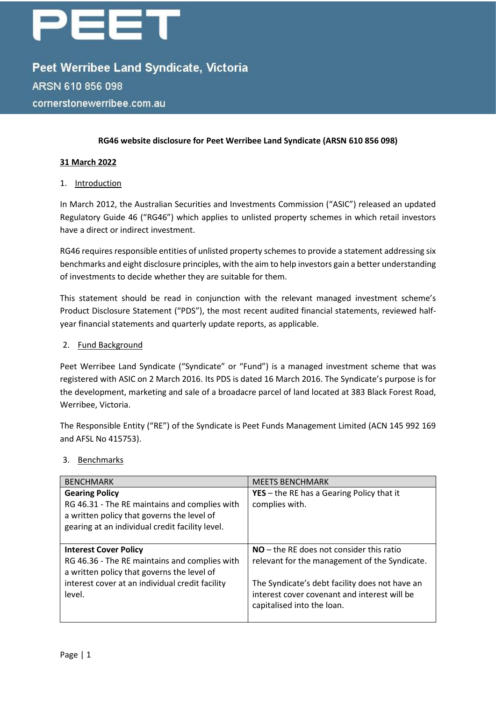# EET

Peet Werribee Land Syndicate, Victoria ARSN 610 856 098 cornerstonewerribee.com.au

#### **RG46 website disclosure for Peet Werribee Land Syndicate (ARSN 610 856 098)**

#### **31 March 2022**

#### 1. Introduction

In March 2012, the Australian Securities and Investments Commission ("ASIC") released an updated Regulatory Guide 46 ("RG46") which applies to unlisted property schemes in which retail investors have a direct or indirect investment.

RG46 requires responsible entities of unlisted property schemes to provide a statement addressing six benchmarks and eight disclosure principles, with the aim to help investors gain a better understanding of investments to decide whether they are suitable for them.

This statement should be read in conjunction with the relevant managed investment scheme's Product Disclosure Statement ("PDS"), the most recent audited financial statements, reviewed halfyear financial statements and quarterly update reports, as applicable.

#### 2. Fund Background

Peet Werribee Land Syndicate ("Syndicate" or "Fund") is a managed investment scheme that was registered with ASIC on 2 March 2016. Its PDS is dated 16 March 2016. The Syndicate's purpose is for the development, marketing and sale of a broadacre parcel of land located at 383 Black Forest Road, Werribee, Victoria.

The Responsible Entity ("RE") of the Syndicate is Peet Funds Management Limited (ACN 145 992 169 and AFSL No 415753).

#### 3. Benchmarks

| <b>BENCHMARK</b>                                                                              | <b>MEETS BENCHMARK</b>                                                                                                       |
|-----------------------------------------------------------------------------------------------|------------------------------------------------------------------------------------------------------------------------------|
| <b>Gearing Policy</b><br>RG 46.31 - The RE maintains and complies with                        | <b>YES</b> $-$ the RE has a Gearing Policy that it<br>complies with.                                                         |
| a written policy that governs the level of<br>gearing at an individual credit facility level. |                                                                                                                              |
| <b>Interest Cover Policy</b>                                                                  | $NO$ – the RE does not consider this ratio                                                                                   |
| RG 46.36 - The RE maintains and complies with<br>a written policy that governs the level of   | relevant for the management of the Syndicate.                                                                                |
| interest cover at an individual credit facility<br>level.                                     | The Syndicate's debt facility does not have an<br>interest cover covenant and interest will be<br>capitalised into the loan. |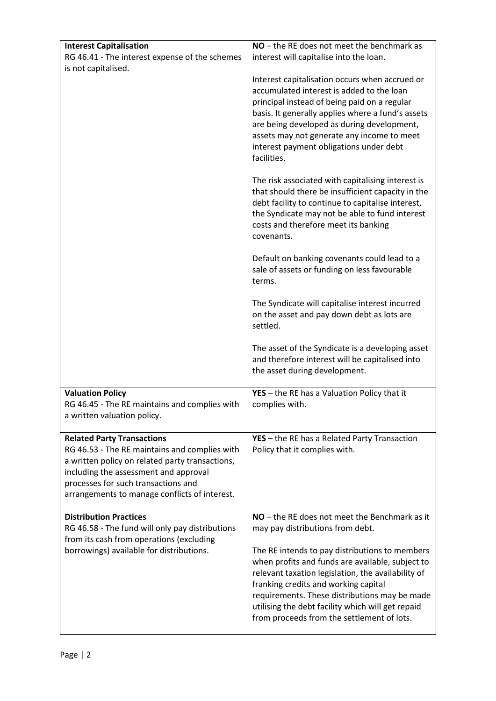| <b>Interest Capitalisation</b>                                                                                                                                                                                                                                         | $NO$ – the RE does not meet the benchmark as                                                                                                                                                                                                                                                                                                                                                                                                                                                                                                                                                                    |
|------------------------------------------------------------------------------------------------------------------------------------------------------------------------------------------------------------------------------------------------------------------------|-----------------------------------------------------------------------------------------------------------------------------------------------------------------------------------------------------------------------------------------------------------------------------------------------------------------------------------------------------------------------------------------------------------------------------------------------------------------------------------------------------------------------------------------------------------------------------------------------------------------|
| RG 46.41 - The interest expense of the schemes                                                                                                                                                                                                                         | interest will capitalise into the loan.                                                                                                                                                                                                                                                                                                                                                                                                                                                                                                                                                                         |
| is not capitalised.                                                                                                                                                                                                                                                    |                                                                                                                                                                                                                                                                                                                                                                                                                                                                                                                                                                                                                 |
|                                                                                                                                                                                                                                                                        | Interest capitalisation occurs when accrued or<br>accumulated interest is added to the loan<br>principal instead of being paid on a regular<br>basis. It generally applies where a fund's assets<br>are being developed as during development,<br>assets may not generate any income to meet<br>interest payment obligations under debt<br>facilities.<br>The risk associated with capitalising interest is<br>that should there be insufficient capacity in the<br>debt facility to continue to capitalise interest,<br>the Syndicate may not be able to fund interest<br>costs and therefore meet its banking |
|                                                                                                                                                                                                                                                                        | covenants.                                                                                                                                                                                                                                                                                                                                                                                                                                                                                                                                                                                                      |
|                                                                                                                                                                                                                                                                        | Default on banking covenants could lead to a<br>sale of assets or funding on less favourable<br>terms.                                                                                                                                                                                                                                                                                                                                                                                                                                                                                                          |
|                                                                                                                                                                                                                                                                        | The Syndicate will capitalise interest incurred<br>on the asset and pay down debt as lots are<br>settled.                                                                                                                                                                                                                                                                                                                                                                                                                                                                                                       |
|                                                                                                                                                                                                                                                                        | The asset of the Syndicate is a developing asset<br>and therefore interest will be capitalised into<br>the asset during development.                                                                                                                                                                                                                                                                                                                                                                                                                                                                            |
| <b>Valuation Policy</b>                                                                                                                                                                                                                                                | YES - the RE has a Valuation Policy that it                                                                                                                                                                                                                                                                                                                                                                                                                                                                                                                                                                     |
| RG 46.45 - The RE maintains and complies with<br>a written valuation policy.                                                                                                                                                                                           | complies with.                                                                                                                                                                                                                                                                                                                                                                                                                                                                                                                                                                                                  |
| <b>Related Party Transactions</b><br>RG 46.53 - The RE maintains and complies with<br>a written policy on related party transactions,<br>including the assessment and approval<br>processes for such transactions and<br>arrangements to manage conflicts of interest. | YES - the RE has a Related Party Transaction<br>Policy that it complies with.                                                                                                                                                                                                                                                                                                                                                                                                                                                                                                                                   |
| <b>Distribution Practices</b>                                                                                                                                                                                                                                          | NO - the RE does not meet the Benchmark as it                                                                                                                                                                                                                                                                                                                                                                                                                                                                                                                                                                   |
| RG 46.58 - The fund will only pay distributions                                                                                                                                                                                                                        | may pay distributions from debt.                                                                                                                                                                                                                                                                                                                                                                                                                                                                                                                                                                                |
| from its cash from operations (excluding<br>borrowings) available for distributions.                                                                                                                                                                                   | The RE intends to pay distributions to members<br>when profits and funds are available, subject to<br>relevant taxation legislation, the availability of<br>franking credits and working capital<br>requirements. These distributions may be made<br>utilising the debt facility which will get repaid<br>from proceeds from the settlement of lots.                                                                                                                                                                                                                                                            |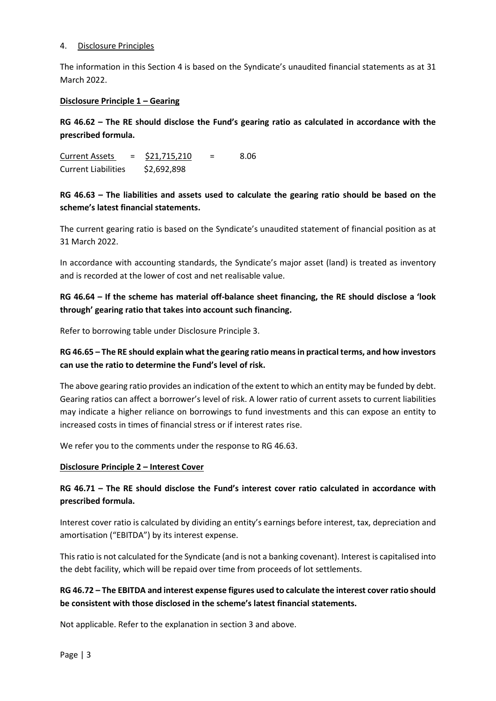#### 4. Disclosure Principles

The information in this Section 4 is based on the Syndicate's unaudited financial statements as at 31 March 2022.

#### **Disclosure Principle 1 – Gearing**

**RG 46.62 – The RE should disclose the Fund's gearing ratio as calculated in accordance with the prescribed formula.**

Current Assets =  $$21,715,210$  = 8.06 Current Liabilities \$2,692,898

# **RG 46.63 – The liabilities and assets used to calculate the gearing ratio should be based on the scheme's latest financial statements.**

The current gearing ratio is based on the Syndicate's unaudited statement of financial position as at 31 March 2022.

In accordance with accounting standards, the Syndicate's major asset (land) is treated as inventory and is recorded at the lower of cost and net realisable value.

# **RG 46.64 – If the scheme has material off-balance sheet financing, the RE should disclose a 'look through' gearing ratio that takes into account such financing.**

Refer to borrowing table under Disclosure Principle 3.

# **RG 46.65 – The RE should explain what the gearing ratio means in practical terms, and how investors can use the ratio to determine the Fund's level of risk.**

The above gearing ratio provides an indication of the extent to which an entity may be funded by debt. Gearing ratios can affect a borrower's level of risk. A lower ratio of current assets to current liabilities may indicate a higher reliance on borrowings to fund investments and this can expose an entity to increased costs in times of financial stress or if interest rates rise.

We refer you to the comments under the response to RG 46.63.

#### **Disclosure Principle 2 – Interest Cover**

# **RG 46.71 – The RE should disclose the Fund's interest cover ratio calculated in accordance with prescribed formula.**

Interest cover ratio is calculated by dividing an entity's earnings before interest, tax, depreciation and amortisation ("EBITDA") by its interest expense.

This ratio is not calculated for the Syndicate (and is not a banking covenant). Interest is capitalised into the debt facility, which will be repaid over time from proceeds of lot settlements.

# **RG 46.72 – The EBITDA and interest expense figures used to calculate the interest cover ratio should be consistent with those disclosed in the scheme's latest financial statements.**

Not applicable. Refer to the explanation in section 3 and above.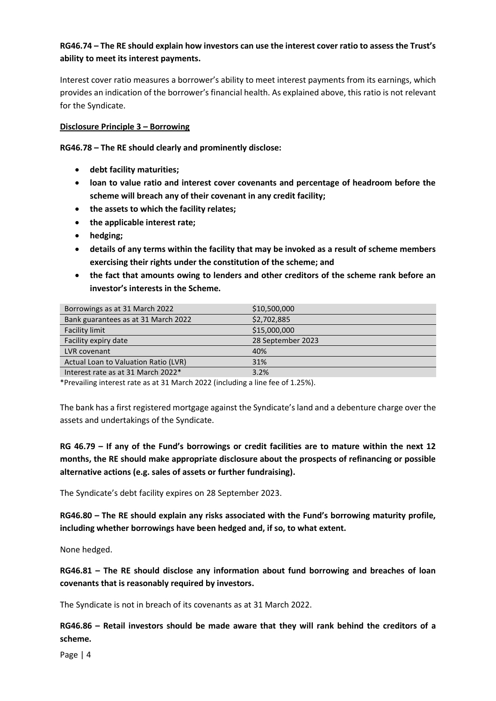# **RG46.74 – The RE should explain how investors can use the interest cover ratio to assess the Trust's ability to meet its interest payments.**

Interest cover ratio measures a borrower's ability to meet interest payments from its earnings, which provides an indication of the borrower's financial health. As explained above, this ratio is not relevant for the Syndicate.

#### **Disclosure Principle 3 – Borrowing**

**RG46.78 – The RE should clearly and prominently disclose:**

- **debt facility maturities;**
- **loan to value ratio and interest cover covenants and percentage of headroom before the scheme will breach any of their covenant in any credit facility;**
- **the assets to which the facility relates;**
- **the applicable interest rate;**
- **hedging;**
- **details of any terms within the facility that may be invoked as a result of scheme members exercising their rights under the constitution of the scheme; and**
- **the fact that amounts owing to lenders and other creditors of the scheme rank before an investor's interests in the Scheme.**

| Borrowings as at 31 March 2022       | \$10,500,000      |
|--------------------------------------|-------------------|
| Bank guarantees as at 31 March 2022  | \$2,702,885       |
| <b>Facility limit</b>                | \$15,000,000      |
| Facility expiry date                 | 28 September 2023 |
| LVR covenant                         | 40%               |
| Actual Loan to Valuation Ratio (LVR) | 31%               |
| Interest rate as at 31 March 2022*   | 3.2%              |

\*Prevailing interest rate as at 31 March 2022 (including a line fee of 1.25%).

The bank has a first registered mortgage against the Syndicate's land and a debenture charge over the assets and undertakings of the Syndicate.

**RG 46.79 – If any of the Fund's borrowings or credit facilities are to mature within the next 12 months, the RE should make appropriate disclosure about the prospects of refinancing or possible alternative actions (e.g. sales of assets or further fundraising).**

The Syndicate's debt facility expires on 28 September 2023.

**RG46.80 – The RE should explain any risks associated with the Fund's borrowing maturity profile, including whether borrowings have been hedged and, if so, to what extent.**

None hedged.

**RG46.81 – The RE should disclose any information about fund borrowing and breaches of loan covenants that is reasonably required by investors.**

The Syndicate is not in breach of its covenants as at 31 March 2022.

**RG46.86 – Retail investors should be made aware that they will rank behind the creditors of a scheme.**

Page | 4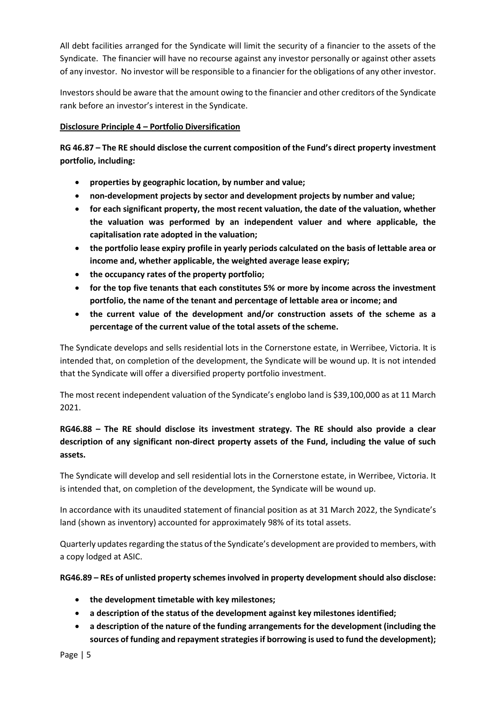All debt facilities arranged for the Syndicate will limit the security of a financier to the assets of the Syndicate. The financier will have no recourse against any investor personally or against other assets of any investor. No investor will be responsible to a financier for the obligations of any other investor.

Investors should be aware that the amount owing to the financier and other creditors of the Syndicate rank before an investor's interest in the Syndicate.

## **Disclosure Principle 4 – Portfolio Diversification**

**RG 46.87 – The RE should disclose the current composition of the Fund's direct property investment portfolio, including:**

- **properties by geographic location, by number and value;**
- **non-development projects by sector and development projects by number and value;**
- **for each significant property, the most recent valuation, the date of the valuation, whether the valuation was performed by an independent valuer and where applicable, the capitalisation rate adopted in the valuation;**
- **the portfolio lease expiry profile in yearly periods calculated on the basis of lettable area or income and, whether applicable, the weighted average lease expiry;**
- **the occupancy rates of the property portfolio;**
- **for the top five tenants that each constitutes 5% or more by income across the investment portfolio, the name of the tenant and percentage of lettable area or income; and**
- **the current value of the development and/or construction assets of the scheme as a percentage of the current value of the total assets of the scheme.**

The Syndicate develops and sells residential lots in the Cornerstone estate, in Werribee, Victoria. It is intended that, on completion of the development, the Syndicate will be wound up. It is not intended that the Syndicate will offer a diversified property portfolio investment.

The most recent independent valuation of the Syndicate's englobo land is \$39,100,000 as at 11 March 2021.

# **RG46.88 – The RE should disclose its investment strategy. The RE should also provide a clear description of any significant non-direct property assets of the Fund, including the value of such assets.**

The Syndicate will develop and sell residential lots in the Cornerstone estate, in Werribee, Victoria. It is intended that, on completion of the development, the Syndicate will be wound up.

In accordance with its unaudited statement of financial position as at 31 March 2022, the Syndicate's land (shown as inventory) accounted for approximately 98% of its total assets.

Quarterly updates regarding the status of the Syndicate's development are provided to members, with a copy lodged at ASIC.

**RG46.89 – REs of unlisted property schemes involved in property development should also disclose:**

- **the development timetable with key milestones;**
- **a description of the status of the development against key milestones identified;**
- **a description of the nature of the funding arrangements for the development (including the sources of funding and repayment strategies if borrowing is used to fund the development);**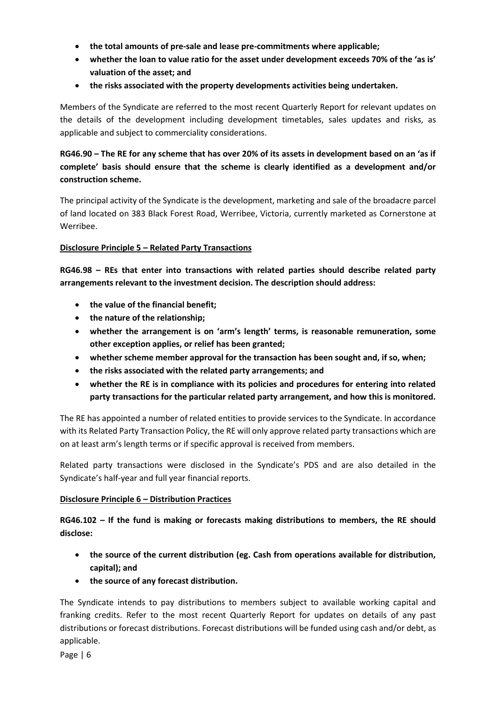- **the total amounts of pre-sale and lease pre-commitments where applicable;**
- **whether the loan to value ratio for the asset under development exceeds 70% of the 'as is' valuation of the asset; and**
- **the risks associated with the property developments activities being undertaken.**

Members of the Syndicate are referred to the most recent Quarterly Report for relevant updates on the details of the development including development timetables, sales updates and risks, as applicable and subject to commerciality considerations.

# **RG46.90 – The RE for any scheme that has over 20% of its assets in development based on an 'as if complete' basis should ensure that the scheme is clearly identified as a development and/or construction scheme.**

The principal activity of the Syndicate is the development, marketing and sale of the broadacre parcel of land located on 383 Black Forest Road, Werribee, Victoria, currently marketed as Cornerstone at Werribee.

#### **Disclosure Principle 5 – Related Party Transactions**

**RG46.98 – REs that enter into transactions with related parties should describe related party arrangements relevant to the investment decision. The description should address:**

- **the value of the financial benefit;**
- **the nature of the relationship;**
- **whether the arrangement is on 'arm's length' terms, is reasonable remuneration, some other exception applies, or relief has been granted;**
- **whether scheme member approval for the transaction has been sought and, if so, when;**
- **the risks associated with the related party arrangements; and**
- **whether the RE is in compliance with its policies and procedures for entering into related party transactions for the particular related party arrangement, and how this is monitored.**

The RE has appointed a number of related entities to provide services to the Syndicate. In accordance with its Related Party Transaction Policy, the RE will only approve related party transactions which are on at least arm's length terms or if specific approval is received from members.

Related party transactions were disclosed in the Syndicate's PDS and are also detailed in the Syndicate's half-year and full year financial reports.

#### **Disclosure Principle 6 – Distribution Practices**

**RG46.102 – If the fund is making or forecasts making distributions to members, the RE should disclose:**

- **the source of the current distribution (eg. Cash from operations available for distribution, capital); and**
- **the source of any forecast distribution.**

The Syndicate intends to pay distributions to members subject to available working capital and franking credits. Refer to the most recent Quarterly Report for updates on details of any past distributions or forecast distributions. Forecast distributions will be funded using cash and/or debt, as applicable.

Page | 6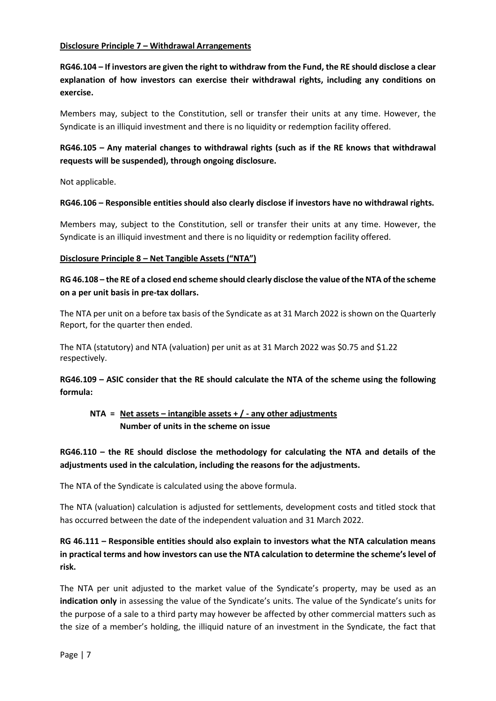#### **Disclosure Principle 7 – Withdrawal Arrangements**

**RG46.104 – If investors are given the right to withdraw from the Fund, the RE should disclose a clear explanation of how investors can exercise their withdrawal rights, including any conditions on exercise.**

Members may, subject to the Constitution, sell or transfer their units at any time. However, the Syndicate is an illiquid investment and there is no liquidity or redemption facility offered.

# **RG46.105 – Any material changes to withdrawal rights (such as if the RE knows that withdrawal requests will be suspended), through ongoing disclosure.**

Not applicable.

#### **RG46.106 – Responsible entities should also clearly disclose if investors have no withdrawal rights.**

Members may, subject to the Constitution, sell or transfer their units at any time. However, the Syndicate is an illiquid investment and there is no liquidity or redemption facility offered.

#### **Disclosure Principle 8 – Net Tangible Assets ("NTA")**

## **RG 46.108 – the RE of a closed end scheme should clearly disclose the value of the NTA of the scheme on a per unit basis in pre-tax dollars.**

The NTA per unit on a before tax basis of the Syndicate as at 31 March 2022 is shown on the Quarterly Report, for the quarter then ended.

The NTA (statutory) and NTA (valuation) per unit as at 31 March 2022 was \$0.75 and \$1.22 respectively.

**RG46.109 – ASIC consider that the RE should calculate the NTA of the scheme using the following formula:**

# **NTA = Net assets – intangible assets + / - any other adjustments Number of units in the scheme on issue**

# **RG46.110 – the RE should disclose the methodology for calculating the NTA and details of the adjustments used in the calculation, including the reasons for the adjustments.**

The NTA of the Syndicate is calculated using the above formula.

The NTA (valuation) calculation is adjusted for settlements, development costs and titled stock that has occurred between the date of the independent valuation and 31 March 2022.

# **RG 46.111 – Responsible entities should also explain to investors what the NTA calculation means in practical terms and how investors can use the NTA calculation to determine the scheme's level of risk.**

The NTA per unit adjusted to the market value of the Syndicate's property, may be used as an **indication only** in assessing the value of the Syndicate's units. The value of the Syndicate's units for the purpose of a sale to a third party may however be affected by other commercial matters such as the size of a member's holding, the illiquid nature of an investment in the Syndicate, the fact that